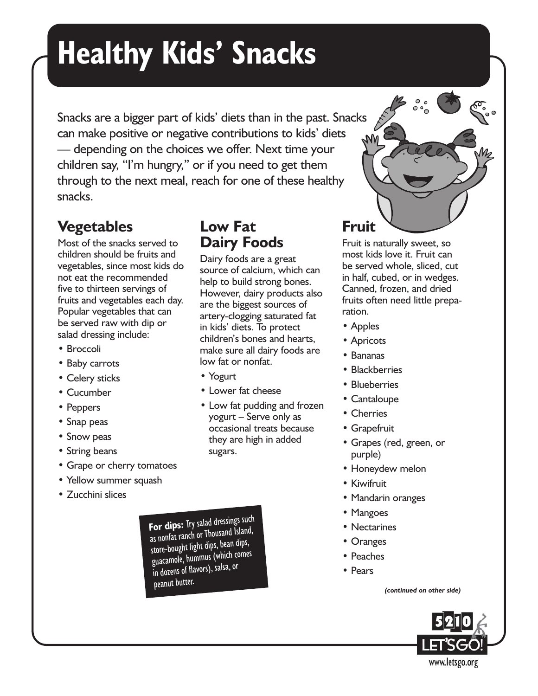# **Healthy Kids' Snacks**

Snacks are a bigger part of kids' diets than in the past. Snacks can make positive or negative contributions to kids' diets — depending on the choices we offer. Next time your children say, "I'm hungry," or if you need to get them through to the next meal, reach for one of these healthy snacks.

## **Vegetables**

Most of the snacks served to children should be fruits and vegetables, since most kids do not eat the recommended five to thirteen servings of fruits and vegetables each day. Popular vegetables that can be served raw with dip or salad dressing include:

- Broccoli
- Baby carrots
- Celery sticks
- Cucumber
- Peppers
- Snap peas
- Snow peas
- String beans
- Grape or cherry tomatoes
- Yellow summer squash
- Zucchini slices

**For dips:** Try salad dressings suc<sup>h</sup> as nonfat ranch or Thousand Island, store-bought light dips, bean dips, guacamole, hummus (which comes in dozens of flavors), salsa, or peanut butter.

### **Low Fat Dairy Foods**

Dairy foods are a great source of calcium, which can help to build strong bones. However, dairy products also are the biggest sources of artery-clogging saturated fat in kids' diets. To protect children's bones and hearts, make sure all dairy foods are low fat or nonfat.

- Yogurt
- Lower fat cheese
- Low fat pudding and frozen yogurt – Serve only as occasional treats because they are high in added sugars.

**Fruit**

Fruit is naturally sweet, so most kids love it. Fruit can be served whole, sliced, cut in half, cubed, or in wedges. Canned, frozen, and dried fruits often need little preparation.

- Apples
- Apricots
- Bananas
- Blackberries
- Blueberries
- Cantaloupe
- Cherries
- Grapefruit
- Grapes (red, green, or purple)
- Honeydew melon
- Kiwifruit
- Mandarin oranges
- Mangoes
- Nectarines
- Oranges
- Peaches
- Pears

*(continued on other side)*